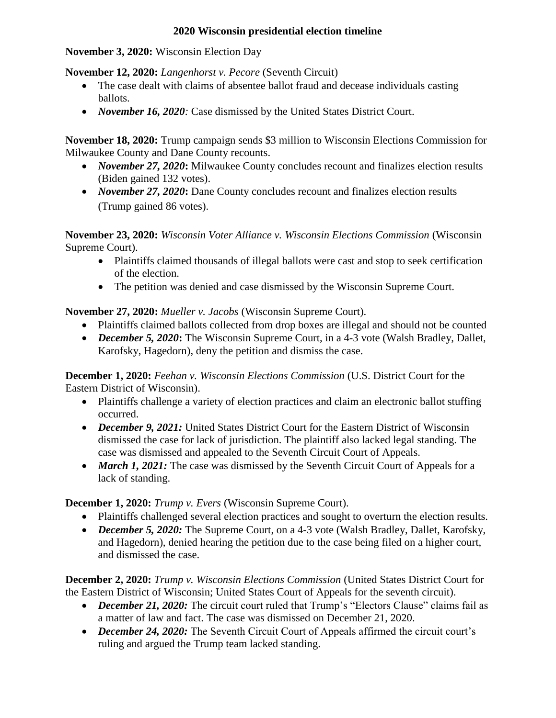## **2020 Wisconsin presidential election timeline**

**November 3, 2020:** Wisconsin Election Day

**November 12, 2020:** *Langenhorst v. Pecore* (Seventh Circuit)

- The case dealt with claims of absentee ballot fraud and decease individuals casting ballots.
- *November 16, 2020:* Case dismissed by the United States District Court.

**November 18, 2020:** Trump campaign sends \$3 million to Wisconsin Elections Commission for Milwaukee County and Dane County recounts.

- *November 27, 2020***:** Milwaukee County concludes recount and finalizes election results (Biden gained 132 votes).
- *November 27, 2020***:** Dane County concludes recount and finalizes election results (Trump gained 86 votes).

**November 23, 2020:** *Wisconsin Voter Alliance v. Wisconsin Elections Commission* (Wisconsin Supreme Court).

- Plaintiffs claimed thousands of illegal ballots were cast and stop to seek certification of the election.
- The petition was denied and case dismissed by the Wisconsin Supreme Court.

**November 27, 2020:** *Mueller v. Jacobs* (Wisconsin Supreme Court).

- Plaintiffs claimed ballots collected from drop boxes are illegal and should not be counted
- *December 5, 2020***:** The Wisconsin Supreme Court, in a 4-3 vote (Walsh Bradley, Dallet, Karofsky, Hagedorn), deny the petition and dismiss the case.

**December 1, 2020:** *Feehan v. Wisconsin Elections Commission* (U.S. District Court for the Eastern District of Wisconsin).

- Plaintiffs challenge a variety of election practices and claim an electronic ballot stuffing occurred.
- *December 9, 2021:* United States District Court for the Eastern District of Wisconsin dismissed the case for lack of jurisdiction. The plaintiff also lacked legal standing. The case was dismissed and appealed to the Seventh Circuit Court of Appeals.
- *March 1, 2021:* The case was dismissed by the Seventh Circuit Court of Appeals for a lack of standing.

**December 1, 2020:** *Trump v. Evers* (Wisconsin Supreme Court).

- Plaintiffs challenged several election practices and sought to overturn the election results.
- *December 5, 2020:* The Supreme Court, on a 4-3 vote (Walsh Bradley, Dallet, Karofsky, and Hagedorn), denied hearing the petition due to the case being filed on a higher court, and dismissed the case.

**December 2, 2020:** *Trump v. Wisconsin Elections Commission* (United States District Court for the Eastern District of Wisconsin; United States Court of Appeals for the seventh circuit).

- *December 21, 2020:* The circuit court ruled that Trump's "Electors Clause" claims fail as a matter of law and fact. The case was dismissed on December 21, 2020.
- *December 24, 2020:* The Seventh Circuit Court of Appeals affirmed the circuit court's ruling and argued the Trump team lacked standing.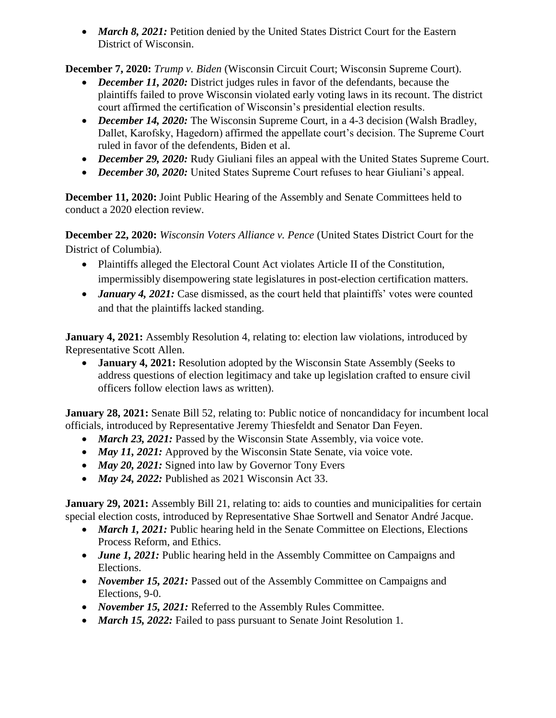• *March 8, 2021:* Petition denied by the United States District Court for the Eastern District of Wisconsin.

**December 7, 2020:** *Trump v. Biden* (Wisconsin Circuit Court; Wisconsin Supreme Court).

- *December 11, 2020:* District judges rules in favor of the defendants, because the plaintiffs failed to prove Wisconsin violated early voting laws in its recount. The district court affirmed the certification of Wisconsin's presidential election results.
- *December 14, 2020:* The Wisconsin Supreme Court, in a 4-3 decision (Walsh Bradley, Dallet, Karofsky, Hagedorn) affirmed the appellate court's decision. The Supreme Court ruled in favor of the defendents, Biden et al.
- *December 29, 2020:* Rudy Giuliani files an appeal with the United States Supreme Court.
- *December 30, 2020:* United States Supreme Court refuses to hear Giuliani's appeal.

**December 11, 2020:** Joint Public Hearing of the Assembly and Senate Committees held to conduct a 2020 election review.

**December 22, 2020:** *Wisconsin Voters Alliance v. Pence* (United States District Court for the District of Columbia).

- Plaintiffs alleged the Electoral Count Act violates Article II of the Constitution, impermissibly disempowering state legislatures in post-election certification matters.
- *January 4, 2021:* Case dismissed, as the court held that plaintiffs' votes were counted and that the plaintiffs lacked standing.

**January 4, 2021:** Assembly Resolution 4, relating to: election law violations, introduced by Representative Scott Allen.

• **January 4, 2021:** Resolution adopted by the Wisconsin State Assembly (Seeks to address questions of election legitimacy and take up legislation crafted to ensure civil officers follow election laws as written).

**January 28, 2021:** Senate Bill 52, relating to: Public notice of noncandidacy for incumbent local officials, introduced by Representative Jeremy Thiesfeldt and Senator Dan Feyen.

- *March 23, 2021:* Passed by the Wisconsin State Assembly, via voice vote.
- *May 11, 2021:* Approved by the Wisconsin State Senate, via voice vote.
- *May 20, 2021:* Signed into law by Governor Tony Evers
- *May 24, 2022:* Published as 2021 Wisconsin Act 33.

January 29, 2021: Assembly Bill 21, relating to: aids to counties and municipalities for certain special election costs, introduced by Representative Shae Sortwell and Senator André Jacque.

- *March 1, 2021:* Public hearing held in the Senate Committee on Elections, Elections Process Reform, and Ethics.
- *June 1, 2021:* Public hearing held in the Assembly Committee on Campaigns and Elections.
- *November 15, 2021:* Passed out of the Assembly Committee on Campaigns and Elections, 9-0.
- *November 15, 2021:* Referred to the Assembly Rules Committee.
- *March 15, 2022:* Failed to pass pursuant to Senate Joint Resolution 1.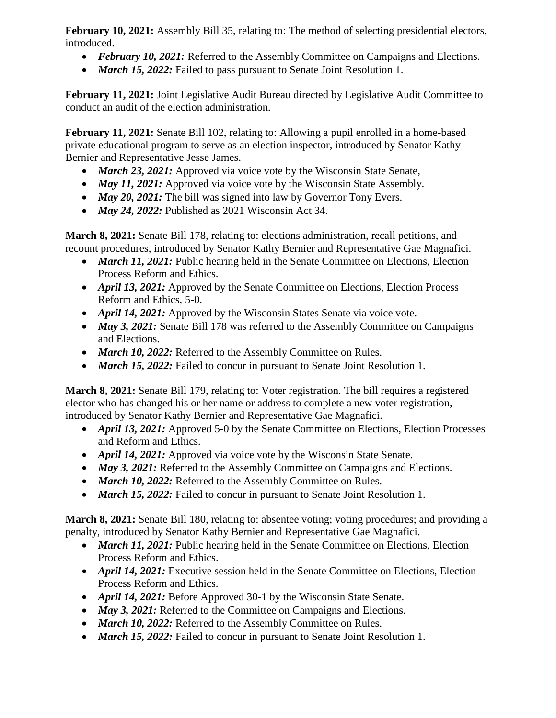**February 10, 2021:** Assembly Bill 35, relating to: The method of selecting presidential electors, introduced.

- *February 10, 2021:* Referred to the Assembly Committee on Campaigns and Elections.
- *March 15, 2022:* Failed to pass pursuant to Senate Joint Resolution 1.

**February 11, 2021:** Joint Legislative Audit Bureau directed by Legislative Audit Committee to conduct an audit of the election administration.

**February 11, 2021:** Senate Bill 102, relating to: Allowing a pupil enrolled in a home-based private educational program to serve as an election inspector, introduced by Senator Kathy Bernier and Representative Jesse James.

- *March 23, 2021:* Approved via voice vote by the Wisconsin State Senate,
- *May 11, 2021:* Approved via voice vote by the Wisconsin State Assembly.
- *May 20, 2021:* The bill was signed into law by Governor Tony Evers.
- *May 24, 2022:* Published as 2021 Wisconsin Act 34.

**March 8, 2021:** Senate Bill 178, relating to: elections administration, recall petitions, and recount procedures, introduced by Senator Kathy Bernier and Representative Gae Magnafici.

- *March 11, 2021:* Public hearing held in the Senate Committee on Elections, Election Process Reform and Ethics.
- *April 13, 2021:* Approved by the Senate Committee on Elections, Election Process Reform and Ethics, 5-0.
- *April 14, 2021:* Approved by the Wisconsin States Senate via voice vote.
- *May 3, 2021:* Senate Bill 178 was referred to the Assembly Committee on Campaigns and Elections.
- *March 10, 2022:* Referred to the Assembly Committee on Rules.
- *March 15, 2022:* Failed to concur in pursuant to Senate Joint Resolution 1.

**March 8, 2021:** Senate Bill 179, relating to: Voter registration. The bill requires a registered elector who has changed his or her name or address to complete a new voter registration, introduced by Senator Kathy Bernier and Representative Gae Magnafici.

- *April 13, 2021:* Approved 5-0 by the Senate Committee on Elections, Election Processes and Reform and Ethics.
- *April 14, 2021:* Approved via voice vote by the Wisconsin State Senate.
- *May 3, 2021:* Referred to the Assembly Committee on Campaigns and Elections.
- *March 10, 2022:* Referred to the Assembly Committee on Rules.
- *March 15, 2022:* Failed to concur in pursuant to Senate Joint Resolution 1.

**March 8, 2021:** Senate Bill 180, relating to: absentee voting; voting procedures; and providing a penalty, introduced by Senator Kathy Bernier and Representative Gae Magnafici.

- *March 11, 2021:* Public hearing held in the Senate Committee on Elections, Election Process Reform and Ethics.
- *April 14, 2021:* Executive session held in the Senate Committee on Elections, Election Process Reform and Ethics.
- *April 14, 2021:* Before Approved 30-1 by the Wisconsin State Senate.
- *May 3, 2021:* Referred to the Committee on Campaigns and Elections.
- *March 10, 2022:* Referred to the Assembly Committee on Rules.
- *March 15, 2022:* Failed to concur in pursuant to Senate Joint Resolution 1.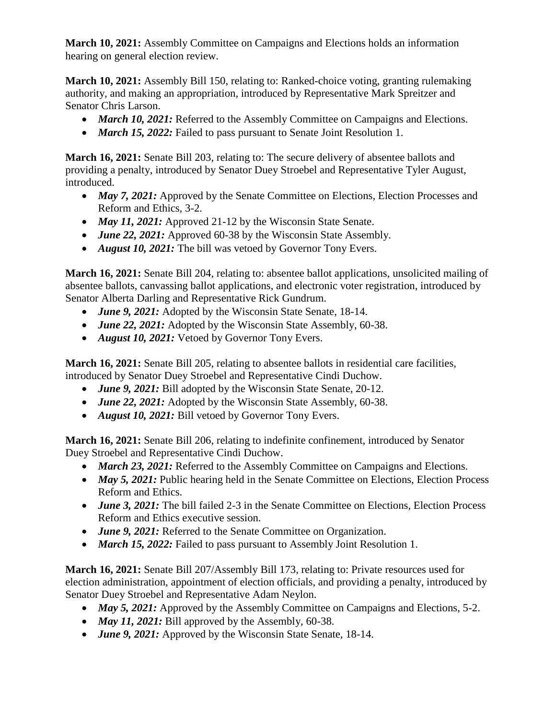**March 10, 2021:** Assembly Committee on Campaigns and Elections holds an information hearing on general election review.

**March 10, 2021:** Assembly Bill 150, relating to: Ranked-choice voting, granting rulemaking authority, and making an appropriation, introduced by Representative Mark Spreitzer and Senator Chris Larson.

- *March 10, 2021:* Referred to the Assembly Committee on Campaigns and Elections.
- *March 15, 2022:* Failed to pass pursuant to Senate Joint Resolution 1.

**March 16, 2021:** Senate Bill 203, relating to: The secure delivery of absentee ballots and providing a penalty, introduced by Senator Duey Stroebel and Representative Tyler August, introduced.

- *May 7, 2021:* Approved by the Senate Committee on Elections, Election Processes and Reform and Ethics, 3-2.
- *May 11, 2021:* Approved 21-12 by the Wisconsin State Senate.
- *June 22, 2021:* Approved 60-38 by the Wisconsin State Assembly.
- *August 10, 2021:* The bill was vetoed by Governor Tony Evers.

**March 16, 2021:** Senate Bill 204, relating to: absentee ballot applications, unsolicited mailing of absentee ballots, canvassing ballot applications, and electronic voter registration, introduced by Senator Alberta Darling and Representative Rick Gundrum.

- *June 9, 2021:* Adopted by the Wisconsin State Senate, 18-14.
- *June 22, 2021:* Adopted by the Wisconsin State Assembly, 60-38.
- *August 10, 2021:* Vetoed by Governor Tony Evers.

**March 16, 2021:** Senate Bill 205, relating to absentee ballots in residential care facilities, introduced by Senator Duey Stroebel and Representative Cindi Duchow.

- *June 9, 2021:* Bill adopted by the Wisconsin State Senate, 20-12.
- *June 22, 2021:* Adopted by the Wisconsin State Assembly, 60-38.
- *August 10, 2021:* Bill vetoed by Governor Tony Evers.

**March 16, 2021:** Senate Bill 206, relating to indefinite confinement, introduced by Senator Duey Stroebel and Representative Cindi Duchow.

- *March 23, 2021:* Referred to the Assembly Committee on Campaigns and Elections.
- *May 5, 2021:* Public hearing held in the Senate Committee on Elections, Election Process Reform and Ethics.
- *June 3, 2021:* The bill failed 2-3 in the Senate Committee on Elections, Election Process Reform and Ethics executive session.
- *June 9, 2021:* Referred to the Senate Committee on Organization.
- *March 15, 2022:* Failed to pass pursuant to Assembly Joint Resolution 1.

**March 16, 2021:** Senate Bill 207/Assembly Bill 173, relating to: Private resources used for election administration, appointment of election officials, and providing a penalty, introduced by Senator Duey Stroebel and Representative Adam Neylon.

- *May 5, 2021:* Approved by the Assembly Committee on Campaigns and Elections, 5-2.
- *May 11, 2021:* Bill approved by the Assembly, 60-38.
- *June 9, 2021:* Approved by the Wisconsin State Senate, 18-14.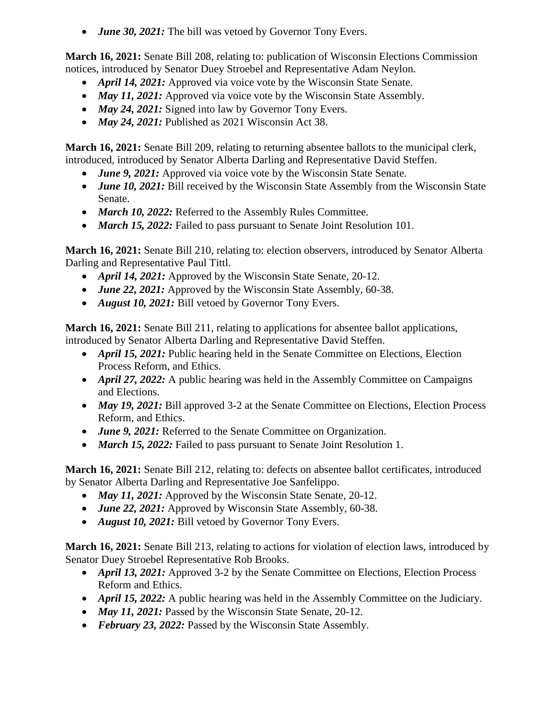• *June 30, 2021:* The bill was vetoed by Governor Tony Evers.

**March 16, 2021:** Senate Bill 208, relating to: publication of Wisconsin Elections Commission notices, introduced by Senator Duey Stroebel and Representative Adam Neylon.

- *April 14, 2021:* Approved via voice vote by the Wisconsin State Senate.
- *May 11, 2021:* Approved via voice vote by the Wisconsin State Assembly.
- *May 24, 2021:* Signed into law by Governor Tony Evers.
- *May 24, 2021:* Published as 2021 Wisconsin Act 38.

**March 16, 2021:** Senate Bill 209, relating to returning absentee ballots to the municipal clerk, introduced, introduced by Senator Alberta Darling and Representative David Steffen.

- *June 9, 2021:* Approved via voice vote by the Wisconsin State Senate.
- *June 10, 2021:* Bill received by the Wisconsin State Assembly from the Wisconsin State Senate.
- March 10, 2022: Referred to the Assembly Rules Committee.
- *March 15, 2022:* Failed to pass pursuant to Senate Joint Resolution 101.

**March 16, 2021:** Senate Bill 210, relating to: election observers, introduced by Senator Alberta Darling and Representative Paul Tittl.

- *April 14, 2021:* Approved by the Wisconsin State Senate, 20-12.
- *June 22, 2021:* Approved by the Wisconsin State Assembly, 60-38.
- *August 10, 2021:* Bill vetoed by Governor Tony Evers.

**March 16, 2021:** Senate Bill 211, relating to applications for absentee ballot applications, introduced by Senator Alberta Darling and Representative David Steffen.

- *April 15, 2021:* Public hearing held in the Senate Committee on Elections, Election Process Reform, and Ethics.
- *April 27, 2022:* A public hearing was held in the Assembly Committee on Campaigns and Elections.
- *May 19, 2021:* Bill approved 3-2 at the Senate Committee on Elections, Election Process Reform, and Ethics.
- *June 9, 2021:* Referred to the Senate Committee on Organization.
- *March 15, 2022:* Failed to pass pursuant to Senate Joint Resolution 1.

**March 16, 2021:** Senate Bill 212, relating to: defects on absentee ballot certificates, introduced by Senator Alberta Darling and Representative Joe Sanfelippo.

- *May 11, 2021:* Approved by the Wisconsin State Senate, 20-12.
- *June 22, 2021:* Approved by Wisconsin State Assembly, 60-38.
- *August 10, 2021:* Bill vetoed by Governor Tony Evers.

**March 16, 2021:** Senate Bill 213, relating to actions for violation of election laws, introduced by Senator Duey Stroebel Representative Rob Brooks.

- *April 13, 2021:* Approved 3-2 by the Senate Committee on Elections, Election Process Reform and Ethics.
- *April 15, 2022:* A public hearing was held in the Assembly Committee on the Judiciary.
- *May 11, 2021:* Passed by the Wisconsin State Senate, 20-12.
- February 23, 2022: Passed by the Wisconsin State Assembly.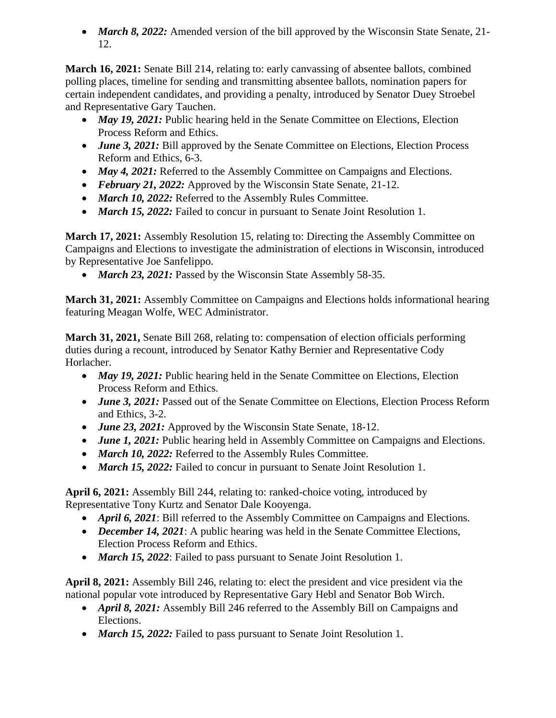*March 8, 2022:* Amended version of the bill approved by the Wisconsin State Senate, 21- 12.

**March 16, 2021:** Senate Bill 214, relating to: early canvassing of absentee ballots, combined polling places, timeline for sending and transmitting absentee ballots, nomination papers for certain independent candidates, and providing a penalty, introduced by Senator Duey Stroebel and Representative Gary Tauchen.

- *May 19, 2021:* Public hearing held in the Senate Committee on Elections, Election Process Reform and Ethics.
- *June 3, 2021:* Bill approved by the Senate Committee on Elections, Election Process Reform and Ethics, 6-3.
- *May 4, 2021:* Referred to the Assembly Committee on Campaigns and Elections.
- *February 21, 2022:* Approved by the Wisconsin State Senate, 21-12.
- *March 10, 2022:* Referred to the Assembly Rules Committee.
- *March 15, 2022:* Failed to concur in pursuant to Senate Joint Resolution 1.

**March 17, 2021:** Assembly Resolution 15, relating to: Directing the Assembly Committee on Campaigns and Elections to investigate the administration of elections in Wisconsin, introduced by Representative Joe Sanfelippo.

• *March 23, 2021:* Passed by the Wisconsin State Assembly 58-35.

**March 31, 2021:** Assembly Committee on Campaigns and Elections holds informational hearing featuring Meagan Wolfe, WEC Administrator.

**March 31, 2021,** Senate Bill 268, relating to: compensation of election officials performing duties during a recount, introduced by Senator Kathy Bernier and Representative Cody Horlacher.

- *May 19, 2021:* Public hearing held in the Senate Committee on Elections, Election Process Reform and Ethics.
- *June 3, 2021:* Passed out of the Senate Committee on Elections, Election Process Reform and Ethics, 3-2.
- *June 23, 2021:* Approved by the Wisconsin State Senate, 18-12.
- *June 1, 2021:* Public hearing held in Assembly Committee on Campaigns and Elections.
- *March 10, 2022:* Referred to the Assembly Rules Committee.
- *March 15, 2022:* Failed to concur in pursuant to Senate Joint Resolution 1.

**April 6, 2021:** Assembly Bill 244, relating to: ranked-choice voting, introduced by Representative Tony Kurtz and Senator Dale Kooyenga.

- *April 6, 2021*: Bill referred to the Assembly Committee on Campaigns and Elections.
- *December 14, 2021*: A public hearing was held in the Senate Committee Elections, Election Process Reform and Ethics.
- *March 15, 2022*: Failed to pass pursuant to Senate Joint Resolution 1.

**April 8, 2021:** Assembly Bill 246, relating to: elect the president and vice president via the national popular vote introduced by Representative Gary Hebl and Senator Bob Wirch.

- *April 8, 2021:* Assembly Bill 246 referred to the Assembly Bill on Campaigns and Elections.
- *March 15, 2022:* Failed to pass pursuant to Senate Joint Resolution 1.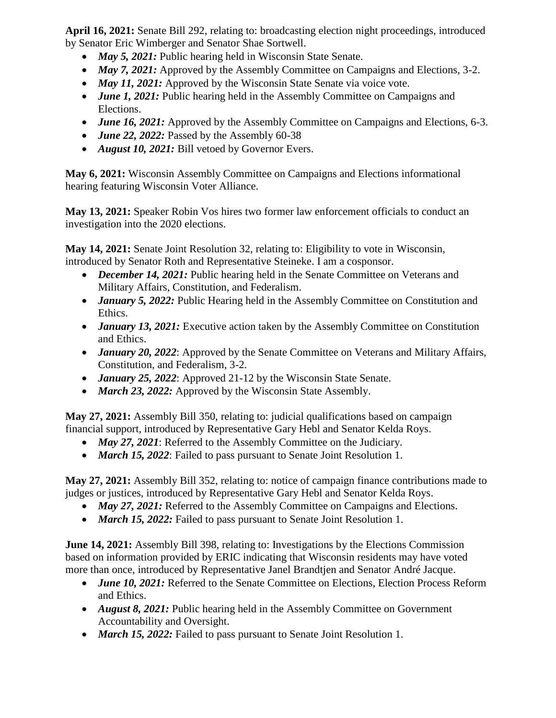**April 16, 2021:** Senate Bill 292, relating to: broadcasting election night proceedings, introduced by Senator Eric Wimberger and Senator Shae Sortwell.

- *May 5, 2021:* Public hearing held in Wisconsin State Senate.
- *May 7, 2021:* Approved by the Assembly Committee on Campaigns and Elections, 3-2.
- *May 11, 2021:* Approved by the Wisconsin State Senate via voice vote.
- *June 1, 2021:* Public hearing held in the Assembly Committee on Campaigns and Elections.
- *June 16, 2021:* Approved by the Assembly Committee on Campaigns and Elections, 6-3.
- *June 22, 2022:* Passed by the Assembly 60-38
- *August 10, 2021:* Bill vetoed by Governor Evers.

**May 6, 2021:** Wisconsin Assembly Committee on Campaigns and Elections informational hearing featuring Wisconsin Voter Alliance.

**May 13, 2021:** Speaker Robin Vos hires two former law enforcement officials to conduct an investigation into the 2020 elections.

**May 14, 2021:** Senate Joint Resolution 32, relating to: Eligibility to vote in Wisconsin, introduced by Senator Roth and Representative Steineke. I am a cosponsor.

- *December 14, 2021:* Public hearing held in the Senate Committee on Veterans and Military Affairs, Constitution, and Federalism.
- *January 5, 2022:* Public Hearing held in the Assembly Committee on Constitution and Ethics.
- *January 13, 2021:* Executive action taken by the Assembly Committee on Constitution and Ethics.
- *January 20, 2022:* Approved by the Senate Committee on Veterans and Military Affairs, Constitution, and Federalism, 3-2.
- *January 25, 2022*: Approved 21-12 by the Wisconsin State Senate.
- *March 23, 2022:* Approved by the Wisconsin State Assembly.

**May 27, 2021:** Assembly Bill 350, relating to: judicial qualifications based on campaign financial support, introduced by Representative Gary Hebl and Senator Kelda Roys.

- *May 27, 2021*: Referred to the Assembly Committee on the Judiciary.
- *March 15, 2022*: Failed to pass pursuant to Senate Joint Resolution 1.

**May 27, 2021:** Assembly Bill 352, relating to: notice of campaign finance contributions made to judges or justices, introduced by Representative Gary Hebl and Senator Kelda Roys.

- *May 27, 2021:* Referred to the Assembly Committee on Campaigns and Elections.
- *March 15, 2022:* Failed to pass pursuant to Senate Joint Resolution 1.

**June 14, 2021:** Assembly Bill 398, relating to: Investigations by the Elections Commission based on information provided by ERIC indicating that Wisconsin residents may have voted more than once, introduced by Representative Janel Brandtjen and Senator André Jacque.

- *June 10, 2021:* Referred to the Senate Committee on Elections, Election Process Reform and Ethics.
- *August 8, 2021:* Public hearing held in the Assembly Committee on Government Accountability and Oversight.
- *March 15, 2022:* Failed to pass pursuant to Senate Joint Resolution 1.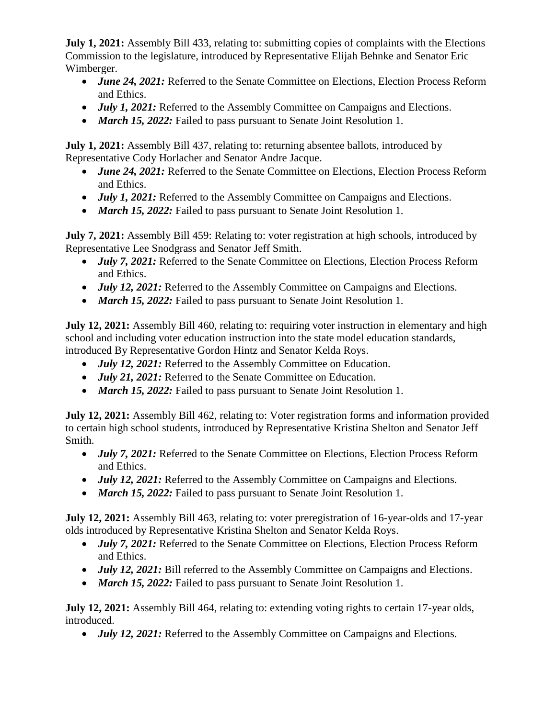**July 1, 2021:** Assembly Bill 433, relating to: submitting copies of complaints with the Elections Commission to the legislature, introduced by Representative Elijah Behnke and Senator Eric Wimberger.

- *June 24, 2021:* Referred to the Senate Committee on Elections, Election Process Reform and Ethics.
- *July 1, 2021:* Referred to the Assembly Committee on Campaigns and Elections.
- *March 15, 2022:* Failed to pass pursuant to Senate Joint Resolution 1.

**July 1, 2021:** Assembly Bill 437, relating to: returning absentee ballots, introduced by Representative Cody Horlacher and Senator Andre Jacque.

- *June 24, 2021:* Referred to the Senate Committee on Elections, Election Process Reform and Ethics.
- *July 1, 2021:* Referred to the Assembly Committee on Campaigns and Elections.
- *March 15, 2022:* Failed to pass pursuant to Senate Joint Resolution 1.

**July 7, 2021:** Assembly Bill 459: Relating to: voter registration at high schools, introduced by Representative Lee Snodgrass and Senator Jeff Smith.

- *July 7, 2021:* Referred to the Senate Committee on Elections, Election Process Reform and Ethics.
- *July 12, 2021:* Referred to the Assembly Committee on Campaigns and Elections.
- *March 15, 2022:* Failed to pass pursuant to Senate Joint Resolution 1.

**July 12, 2021:** Assembly Bill 460, relating to: requiring voter instruction in elementary and high school and including voter education instruction into the state model education standards, introduced By Representative Gordon Hintz and Senator Kelda Roys.

- *July 12, 2021:* Referred to the Assembly Committee on Education.
- *July 21, 2021:* Referred to the Senate Committee on Education.
- *March 15, 2022:* Failed to pass pursuant to Senate Joint Resolution 1.

**July 12, 2021:** Assembly Bill 462, relating to: Voter registration forms and information provided to certain high school students, introduced by Representative Kristina Shelton and Senator Jeff Smith.

- *July 7, 2021:* Referred to the Senate Committee on Elections, Election Process Reform and Ethics.
- *July 12, 2021:* Referred to the Assembly Committee on Campaigns and Elections.
- *March 15, 2022:* Failed to pass pursuant to Senate Joint Resolution 1.

**July 12, 2021:** Assembly Bill 463, relating to: voter preregistration of 16-year-olds and 17-year olds introduced by Representative Kristina Shelton and Senator Kelda Roys.

- *July 7, 2021:* Referred to the Senate Committee on Elections, Election Process Reform and Ethics.
- *July 12, 2021:* Bill referred to the Assembly Committee on Campaigns and Elections.
- *March 15, 2022:* Failed to pass pursuant to Senate Joint Resolution 1.

**July 12, 2021:** Assembly Bill 464, relating to: extending voting rights to certain 17-year olds, introduced.

• *July 12, 2021:* Referred to the Assembly Committee on Campaigns and Elections.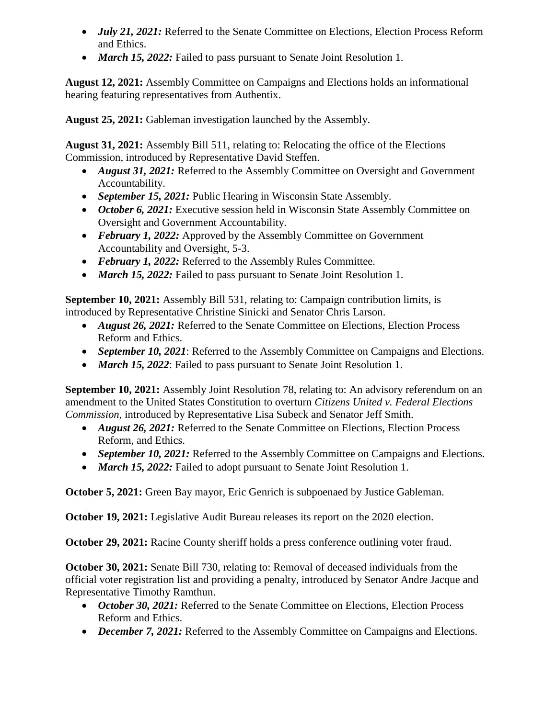- *July 21, 2021:* Referred to the Senate Committee on Elections, Election Process Reform and Ethics.
- *March 15, 2022:* Failed to pass pursuant to Senate Joint Resolution 1.

**August 12, 2021:** Assembly Committee on Campaigns and Elections holds an informational hearing featuring representatives from Authentix.

**August 25, 2021:** Gableman investigation launched by the Assembly.

**August 31, 2021:** Assembly Bill 511, relating to: Relocating the office of the Elections Commission, introduced by Representative David Steffen.

- *August 31, 2021:* Referred to the Assembly Committee on Oversight and Government Accountability.
- *September 15, 2021:* Public Hearing in Wisconsin State Assembly.
- October 6, 2021: Executive session held in Wisconsin State Assembly Committee on Oversight and Government Accountability.
- February 1, 2022: Approved by the Assembly Committee on Government Accountability and Oversight, 5-3.
- February 1, 2022: Referred to the Assembly Rules Committee.
- *March 15, 2022:* Failed to pass pursuant to Senate Joint Resolution 1.

**September 10, 2021:** Assembly Bill 531, relating to: Campaign contribution limits, is introduced by Representative Christine Sinicki and Senator Chris Larson.

- *August 26, 2021:* Referred to the Senate Committee on Elections, Election Process Reform and Ethics.
- *September 10, 2021*: Referred to the Assembly Committee on Campaigns and Elections.
- *March 15, 2022*: Failed to pass pursuant to Senate Joint Resolution 1.

**September 10, 2021:** Assembly Joint Resolution 78, relating to: An advisory referendum on an amendment to the United States Constitution to overturn *Citizens United v. Federal Elections Commission,* introduced by Representative Lisa Subeck and Senator Jeff Smith.

- *August 26, 2021:* Referred to the Senate Committee on Elections, Election Process Reform, and Ethics.
- *September 10, 2021:* Referred to the Assembly Committee on Campaigns and Elections.
- *March 15, 2022:* Failed to adopt pursuant to Senate Joint Resolution 1.

**October 5, 2021:** Green Bay mayor, Eric Genrich is subpoenaed by Justice Gableman.

**October 19, 2021:** Legislative Audit Bureau releases its report on the 2020 election.

**October 29, 2021:** Racine County sheriff holds a press conference outlining voter fraud.

**October 30, 2021:** Senate Bill 730, relating to: Removal of deceased individuals from the official voter registration list and providing a penalty, introduced by Senator Andre Jacque and Representative Timothy Ramthun.

- October 30, 2021: Referred to the Senate Committee on Elections, Election Process Reform and Ethics.
- *December 7, 2021:* Referred to the Assembly Committee on Campaigns and Elections.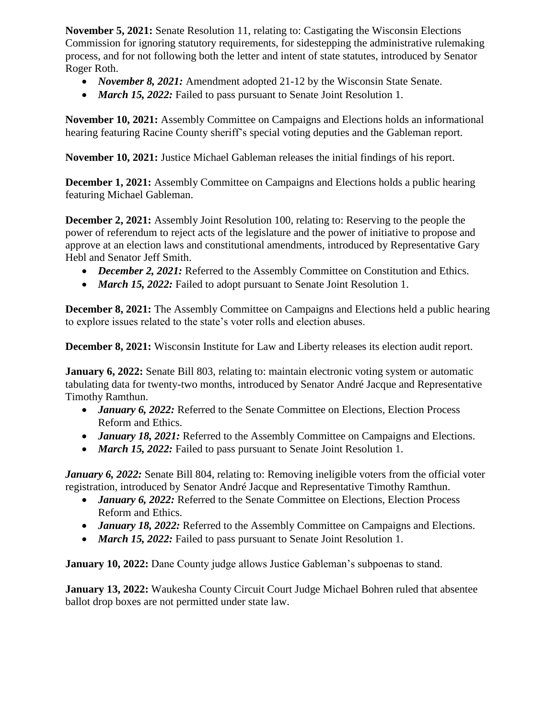**November 5, 2021:** Senate Resolution 11, relating to: Castigating the Wisconsin Elections Commission for ignoring statutory requirements, for sidestepping the administrative rulemaking process, and for not following both the letter and intent of state statutes, introduced by Senator Roger Roth.

- *November 8, 2021:* Amendment adopted 21-12 by the Wisconsin State Senate.
- *March 15, 2022:* Failed to pass pursuant to Senate Joint Resolution 1.

**November 10, 2021:** Assembly Committee on Campaigns and Elections holds an informational hearing featuring Racine County sheriff's special voting deputies and the Gableman report.

**November 10, 2021:** Justice Michael Gableman releases the initial findings of his report.

**December 1, 2021:** Assembly Committee on Campaigns and Elections holds a public hearing featuring Michael Gableman.

**December 2, 2021:** Assembly Joint Resolution 100, relating to: Reserving to the people the power of referendum to reject acts of the legislature and the power of initiative to propose and approve at an election laws and constitutional amendments, introduced by Representative Gary Hebl and Senator Jeff Smith.

- *December 2, 2021:* Referred to the Assembly Committee on Constitution and Ethics.
- *March 15, 2022:* Failed to adopt pursuant to Senate Joint Resolution 1.

**December 8, 2021:** The Assembly Committee on Campaigns and Elections held a public hearing to explore issues related to the state's voter rolls and election abuses.

**December 8, 2021:** Wisconsin Institute for Law and Liberty releases its election audit report.

**January 6, 2022:** Senate Bill 803, relating to: maintain electronic voting system or automatic tabulating data for twenty-two months, introduced by Senator André Jacque and Representative Timothy Ramthun.

- *January 6, 2022:* Referred to the Senate Committee on Elections, Election Process Reform and Ethics.
- *January 18, 2021:* Referred to the Assembly Committee on Campaigns and Elections.
- *March 15, 2022:* Failed to pass pursuant to Senate Joint Resolution 1.

*January 6, 2022:* Senate Bill 804, relating to: Removing ineligible voters from the official voter registration, introduced by Senator André Jacque and Representative Timothy Ramthun.

- *January 6, 2022:* Referred to the Senate Committee on Elections, Election Process Reform and Ethics.
- *January 18, 2022:* Referred to the Assembly Committee on Campaigns and Elections.
- *March 15, 2022:* Failed to pass pursuant to Senate Joint Resolution 1.

**January 10, 2022:** Dane County judge allows Justice Gableman's subpoenas to stand.

**January 13, 2022:** Waukesha County Circuit Court Judge Michael Bohren ruled that absentee ballot drop boxes are not permitted under state law.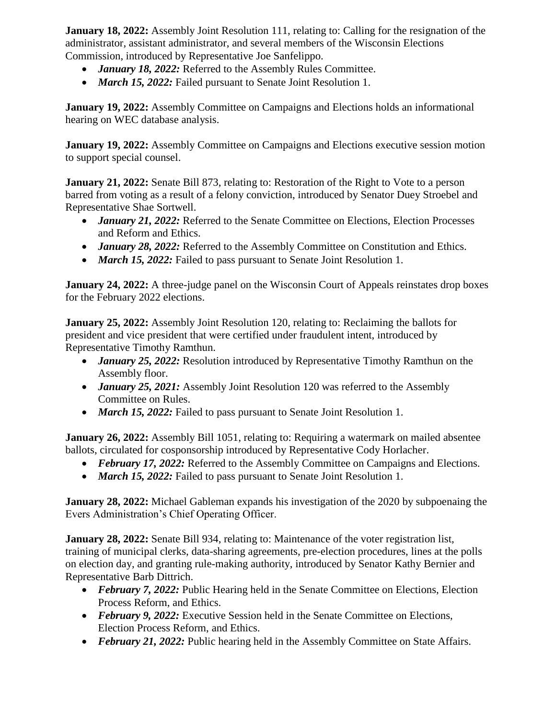**January 18, 2022:** Assembly Joint Resolution 111, relating to: Calling for the resignation of the administrator, assistant administrator, and several members of the Wisconsin Elections Commission, introduced by Representative Joe Sanfelippo.

- *January 18, 2022:* Referred to the Assembly Rules Committee.
- *March 15, 2022:* Failed pursuant to Senate Joint Resolution 1.

**January 19, 2022:** Assembly Committee on Campaigns and Elections holds an informational hearing on WEC database analysis.

**January 19, 2022:** Assembly Committee on Campaigns and Elections executive session motion to support special counsel.

**January 21, 2022:** Senate Bill 873, relating to: Restoration of the Right to Vote to a person barred from voting as a result of a felony conviction, introduced by Senator Duey Stroebel and Representative Shae Sortwell.

- *January 21, 2022:* Referred to the Senate Committee on Elections, Election Processes and Reform and Ethics.
- *January 28, 2022:* Referred to the Assembly Committee on Constitution and Ethics.
- *March 15, 2022:* Failed to pass pursuant to Senate Joint Resolution 1.

**January 24, 2022:** A three-judge panel on the Wisconsin Court of Appeals reinstates drop boxes for the February 2022 elections.

**January 25, 2022:** Assembly Joint Resolution 120, relating to: Reclaiming the ballots for president and vice president that were certified under fraudulent intent, introduced by Representative Timothy Ramthun.

- *January 25, 2022:* Resolution introduced by Representative Timothy Ramthun on the Assembly floor.
- *January 25, 2021:* Assembly Joint Resolution 120 was referred to the Assembly Committee on Rules.
- *March 15, 2022:* Failed to pass pursuant to Senate Joint Resolution 1.

**January 26, 2022:** Assembly Bill 1051, relating to: Requiring a watermark on mailed absentee ballots, circulated for cosponsorship introduced by Representative Cody Horlacher.

- *February 17, 2022:* Referred to the Assembly Committee on Campaigns and Elections.
- *March 15, 2022:* Failed to pass pursuant to Senate Joint Resolution 1.

**January 28, 2022:** Michael Gableman expands his investigation of the 2020 by subpoenaing the Evers Administration's Chief Operating Officer.

**January 28, 2022:** Senate Bill 934, relating to: Maintenance of the voter registration list, training of municipal clerks, data-sharing agreements, pre-election procedures, lines at the polls on election day, and granting rule-making authority, introduced by Senator Kathy Bernier and Representative Barb Dittrich.

- *February* 7, 2022: Public Hearing held in the Senate Committee on Elections, Election Process Reform, and Ethics.
- February 9, 2022: Executive Session held in the Senate Committee on Elections, Election Process Reform, and Ethics.
- February 21, 2022: Public hearing held in the Assembly Committee on State Affairs.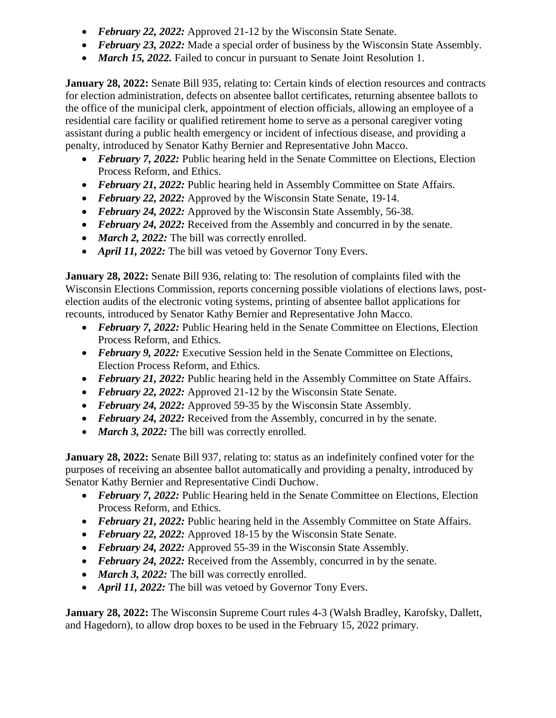- *February 22, 2022:* Approved 21-12 by the Wisconsin State Senate.
- February 23, 2022: Made a special order of business by the Wisconsin State Assembly.
- *March 15, 2022.* Failed to concur in pursuant to Senate Joint Resolution 1.

**January 28, 2022:** Senate Bill 935, relating to: Certain kinds of election resources and contracts for election administration, defects on absentee ballot certificates, returning absentee ballots to the office of the municipal clerk, appointment of election officials, allowing an employee of a residential care facility or qualified retirement home to serve as a personal caregiver voting assistant during a public health emergency or incident of infectious disease, and providing a penalty, introduced by Senator Kathy Bernier and Representative John Macco.

- February 7, 2022: Public hearing held in the Senate Committee on Elections, Election Process Reform, and Ethics.
- *February 21, 2022:* Public hearing held in Assembly Committee on State Affairs.
- February 22, 2022: Approved by the Wisconsin State Senate, 19-14.
- *February 24, 2022:* Approved by the Wisconsin State Assembly, 56-38.
- *February 24, 2022:* Received from the Assembly and concurred in by the senate.
- *March 2, 2022:* The bill was correctly enrolled.
- *April 11, 2022:* The bill was vetoed by Governor Tony Evers.

**January 28, 2022:** Senate Bill 936, relating to: The resolution of complaints filed with the Wisconsin Elections Commission, reports concerning possible violations of elections laws, postelection audits of the electronic voting systems, printing of absentee ballot applications for recounts, introduced by Senator Kathy Bernier and Representative John Macco.

- *February* 7, 2022: Public Hearing held in the Senate Committee on Elections, Election Process Reform, and Ethics.
- February 9, 2022: Executive Session held in the Senate Committee on Elections, Election Process Reform, and Ethics.
- February 21, 2022: Public hearing held in the Assembly Committee on State Affairs.
- *February 22, 2022:* Approved 21-12 by the Wisconsin State Senate.
- *February* 24, 2022: Approved 59-35 by the Wisconsin State Assembly.
- *February 24, 2022:* Received from the Assembly, concurred in by the senate.
- *March 3, 2022:* The bill was correctly enrolled.

**January 28, 2022:** Senate Bill 937, relating to: status as an indefinitely confined voter for the purposes of receiving an absentee ballot automatically and providing a penalty, introduced by Senator Kathy Bernier and Representative Cindi Duchow.

- *February* 7, 2022: Public Hearing held in the Senate Committee on Elections, Election Process Reform, and Ethics.
- *February 21, 2022:* Public hearing held in the Assembly Committee on State Affairs.
- *February 22, 2022:* Approved 18-15 by the Wisconsin State Senate.
- February 24, 2022: Approved 55-39 in the Wisconsin State Assembly.
- *February 24, 2022:* Received from the Assembly, concurred in by the senate.
- *March 3, 2022:* The bill was correctly enrolled.
- *April 11, 2022:* The bill was vetoed by Governor Tony Evers.

**January 28, 2022:** The Wisconsin Supreme Court rules 4-3 (Walsh Bradley, Karofsky, Dallett, and Hagedorn), to allow drop boxes to be used in the February 15, 2022 primary.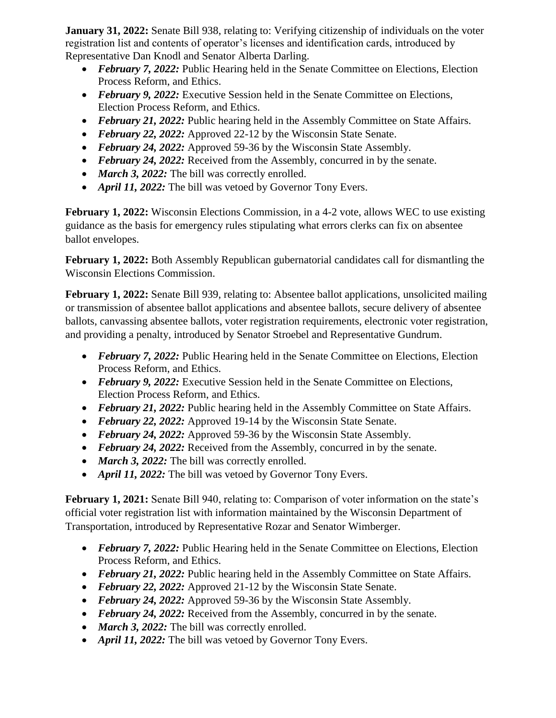**January 31, 2022:** Senate Bill 938, relating to: Verifying citizenship of individuals on the voter registration list and contents of operator's licenses and identification cards, introduced by Representative Dan Knodl and Senator Alberta Darling.

- *February* 7, 2022: Public Hearing held in the Senate Committee on Elections, Election Process Reform, and Ethics.
- *February 9, 2022:* Executive Session held in the Senate Committee on Elections, Election Process Reform, and Ethics.
- *February 21, 2022:* Public hearing held in the Assembly Committee on State Affairs.
- *February 22, 2022:* Approved 22-12 by the Wisconsin State Senate.
- February 24, 2022: Approved 59-36 by the Wisconsin State Assembly.
- *February 24, 2022:* Received from the Assembly, concurred in by the senate.
- *March 3, 2022:* The bill was correctly enrolled.
- *April 11, 2022:* The bill was vetoed by Governor Tony Evers.

**February 1, 2022:** Wisconsin Elections Commission, in a 4-2 vote, allows WEC to use existing guidance as the basis for emergency rules stipulating what errors clerks can fix on absentee ballot envelopes.

**February 1, 2022:** Both Assembly Republican gubernatorial candidates call for dismantling the Wisconsin Elections Commission.

**February 1, 2022:** Senate Bill 939, relating to: Absentee ballot applications, unsolicited mailing or transmission of absentee ballot applications and absentee ballots, secure delivery of absentee ballots, canvassing absentee ballots, voter registration requirements, electronic voter registration, and providing a penalty, introduced by Senator Stroebel and Representative Gundrum.

- *February* 7, 2022: Public Hearing held in the Senate Committee on Elections, Election Process Reform, and Ethics.
- *February 9, 2022:* Executive Session held in the Senate Committee on Elections, Election Process Reform, and Ethics.
- February 21, 2022: Public hearing held in the Assembly Committee on State Affairs.
- *February 22, 2022:* Approved 19-14 by the Wisconsin State Senate.
- February 24, 2022: Approved 59-36 by the Wisconsin State Assembly.
- *February 24, 2022:* Received from the Assembly, concurred in by the senate.
- *March 3, 2022:* The bill was correctly enrolled.
- *April 11, 2022:* The bill was vetoed by Governor Tony Evers.

**February 1, 2021:** Senate Bill 940, relating to: Comparison of voter information on the state's official voter registration list with information maintained by the Wisconsin Department of Transportation, introduced by Representative Rozar and Senator Wimberger.

- February 7, 2022: Public Hearing held in the Senate Committee on Elections, Election Process Reform, and Ethics.
- *February 21, 2022:* Public hearing held in the Assembly Committee on State Affairs.
- *February 22, 2022:* Approved 21-12 by the Wisconsin State Senate.
- February 24, 2022: Approved 59-36 by the Wisconsin State Assembly.
- *February 24, 2022:* Received from the Assembly, concurred in by the senate.
- *March 3, 2022:* The bill was correctly enrolled.
- *April 11, 2022:* The bill was vetoed by Governor Tony Evers.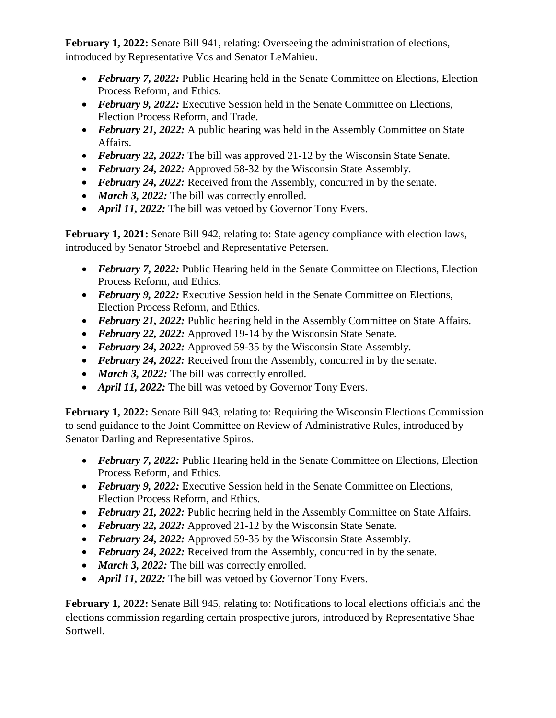**February 1, 2022:** Senate Bill 941, relating: Overseeing the administration of elections, introduced by Representative Vos and Senator LeMahieu.

- *February* 7, 2022: Public Hearing held in the Senate Committee on Elections, Election Process Reform, and Ethics.
- February 9, 2022: Executive Session held in the Senate Committee on Elections, Election Process Reform, and Trade.
- *February 21, 2022:* A public hearing was held in the Assembly Committee on State Affairs.
- *February 22, 2022:* The bill was approved 21-12 by the Wisconsin State Senate.
- February 24, 2022: Approved 58-32 by the Wisconsin State Assembly.
- *February 24, 2022:* Received from the Assembly, concurred in by the senate.
- *March 3, 2022:* The bill was correctly enrolled.
- *April 11, 2022:* The bill was vetoed by Governor Tony Evers.

February 1, 2021: Senate Bill 942, relating to: State agency compliance with election laws, introduced by Senator Stroebel and Representative Petersen.

- February 7, 2022: Public Hearing held in the Senate Committee on Elections, Election Process Reform, and Ethics.
- *February 9, 2022:* Executive Session held in the Senate Committee on Elections, Election Process Reform, and Ethics.
- *February 21, 2022:* Public hearing held in the Assembly Committee on State Affairs.
- *February 22, 2022:* Approved 19-14 by the Wisconsin State Senate.
- February 24, 2022: Approved 59-35 by the Wisconsin State Assembly.
- *February 24, 2022:* Received from the Assembly, concurred in by the senate.
- *March 3, 2022:* The bill was correctly enrolled.
- *April 11, 2022:* The bill was vetoed by Governor Tony Evers.

**February 1, 2022:** Senate Bill 943, relating to: Requiring the Wisconsin Elections Commission to send guidance to the Joint Committee on Review of Administrative Rules, introduced by Senator Darling and Representative Spiros.

- *February* 7, 2022: Public Hearing held in the Senate Committee on Elections, Election Process Reform, and Ethics.
- *February 9, 2022:* Executive Session held in the Senate Committee on Elections, Election Process Reform, and Ethics.
- *February 21, 2022:* Public hearing held in the Assembly Committee on State Affairs.
- *February 22, 2022:* Approved 21-12 by the Wisconsin State Senate.
- February 24, 2022: Approved 59-35 by the Wisconsin State Assembly.
- *February 24, 2022:* Received from the Assembly, concurred in by the senate.
- *March 3, 2022:* The bill was correctly enrolled.
- *April 11, 2022:* The bill was vetoed by Governor Tony Evers.

**February 1, 2022:** Senate Bill 945, relating to: Notifications to local elections officials and the elections commission regarding certain prospective jurors, introduced by Representative Shae Sortwell.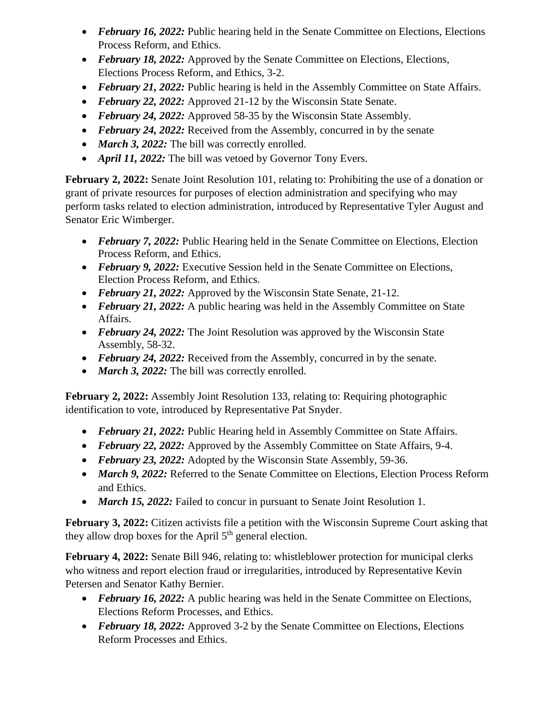- *February 16, 2022:* Public hearing held in the Senate Committee on Elections, Elections Process Reform, and Ethics.
- February 18, 2022: Approved by the Senate Committee on Elections, Elections, Elections Process Reform, and Ethics, 3-2.
- *February 21, 2022:* Public hearing is held in the Assembly Committee on State Affairs.
- *February 22, 2022:* Approved 21-12 by the Wisconsin State Senate.
- February 24, 2022: Approved 58-35 by the Wisconsin State Assembly.
- *February 24, 2022:* Received from the Assembly, concurred in by the senate
- *March 3, 2022:* The bill was correctly enrolled.
- *April 11, 2022:* The bill was vetoed by Governor Tony Evers.

**February 2, 2022:** Senate Joint Resolution 101, relating to: Prohibiting the use of a donation or grant of private resources for purposes of election administration and specifying who may perform tasks related to election administration, introduced by Representative Tyler August and Senator Eric Wimberger.

- *February* 7, 2022: Public Hearing held in the Senate Committee on Elections, Election Process Reform, and Ethics.
- *February 9, 2022:* Executive Session held in the Senate Committee on Elections, Election Process Reform, and Ethics.
- February 21, 2022: Approved by the Wisconsin State Senate, 21-12.
- *February 21, 2022:* A public hearing was held in the Assembly Committee on State Affairs.
- *February 24, 2022:* The Joint Resolution was approved by the Wisconsin State Assembly, 58-32.
- *February 24, 2022:* Received from the Assembly, concurred in by the senate.
- *March 3, 2022:* The bill was correctly enrolled.

**February 2, 2022:** Assembly Joint Resolution 133, relating to: Requiring photographic identification to vote, introduced by Representative Pat Snyder.

- *February 21, 2022:* Public Hearing held in Assembly Committee on State Affairs.
- *February 22, 2022:* Approved by the Assembly Committee on State Affairs, 9-4.
- *February 23, 2022:* Adopted by the Wisconsin State Assembly, 59-36.
- *March 9, 2022:* Referred to the Senate Committee on Elections, Election Process Reform and Ethics.
- *March 15, 2022:* Failed to concur in pursuant to Senate Joint Resolution 1.

**February 3, 2022:** Citizen activists file a petition with the Wisconsin Supreme Court asking that they allow drop boxes for the April  $5<sup>th</sup>$  general election.

**February 4, 2022:** Senate Bill 946, relating to: whistleblower protection for municipal clerks who witness and report election fraud or irregularities, introduced by Representative Kevin Petersen and Senator Kathy Bernier.

- February 16, 2022: A public hearing was held in the Senate Committee on Elections, Elections Reform Processes, and Ethics.
- February 18, 2022: Approved 3-2 by the Senate Committee on Elections, Elections Reform Processes and Ethics.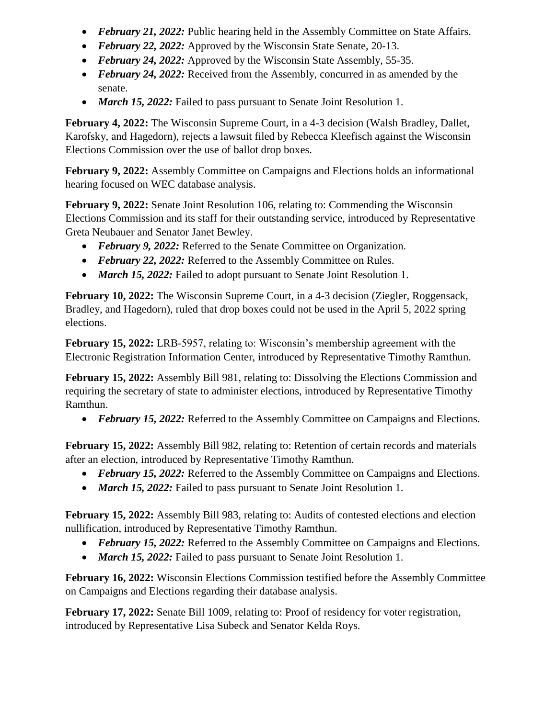- February 21, 2022: Public hearing held in the Assembly Committee on State Affairs.
- *February 22, 2022:* Approved by the Wisconsin State Senate, 20-13.
- February 24, 2022: Approved by the Wisconsin State Assembly, 55-35.
- *February 24, 2022:* Received from the Assembly, concurred in as amended by the senate.
- *March 15, 2022:* Failed to pass pursuant to Senate Joint Resolution 1.

**February 4, 2022:** The Wisconsin Supreme Court, in a 4-3 decision (Walsh Bradley, Dallet, Karofsky, and Hagedorn), rejects a lawsuit filed by Rebecca Kleefisch against the Wisconsin Elections Commission over the use of ballot drop boxes.

**February 9, 2022:** Assembly Committee on Campaigns and Elections holds an informational hearing focused on WEC database analysis.

**February 9, 2022:** Senate Joint Resolution 106, relating to: Commending the Wisconsin Elections Commission and its staff for their outstanding service, introduced by Representative Greta Neubauer and Senator Janet Bewley.

- February 9, 2022: Referred to the Senate Committee on Organization.
- February 22, 2022: Referred to the Assembly Committee on Rules.
- *March 15, 2022:* Failed to adopt pursuant to Senate Joint Resolution 1.

**February 10, 2022:** The Wisconsin Supreme Court, in a 4-3 decision (Ziegler, Roggensack, Bradley, and Hagedorn), ruled that drop boxes could not be used in the April 5, 2022 spring elections.

**February 15, 2022:** LRB-5957, relating to: Wisconsin's membership agreement with the Electronic Registration Information Center, introduced by Representative Timothy Ramthun.

**February 15, 2022:** Assembly Bill 981, relating to: Dissolving the Elections Commission and requiring the secretary of state to administer elections, introduced by Representative Timothy Ramthun.

*February 15, 2022:* Referred to the Assembly Committee on Campaigns and Elections.

**February 15, 2022:** Assembly Bill 982, relating to: Retention of certain records and materials after an election, introduced by Representative Timothy Ramthun.

- February 15, 2022: Referred to the Assembly Committee on Campaigns and Elections.
- *March 15, 2022:* Failed to pass pursuant to Senate Joint Resolution 1.

**February 15, 2022:** Assembly Bill 983, relating to: Audits of contested elections and election nullification, introduced by Representative Timothy Ramthun.

- *February 15, 2022:* Referred to the Assembly Committee on Campaigns and Elections.
- *March 15, 2022:* Failed to pass pursuant to Senate Joint Resolution 1.

**February 16, 2022:** Wisconsin Elections Commission testified before the Assembly Committee on Campaigns and Elections regarding their database analysis.

**February 17, 2022:** Senate Bill 1009, relating to: Proof of residency for voter registration, introduced by Representative Lisa Subeck and Senator Kelda Roys.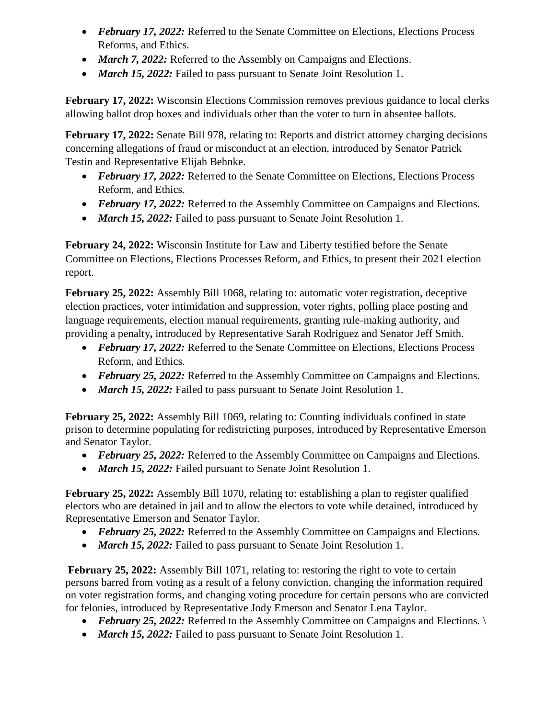- *February 17, 2022:* Referred to the Senate Committee on Elections, Elections Process Reforms, and Ethics.
- *March 7, 2022:* Referred to the Assembly on Campaigns and Elections.
- *March 15, 2022:* Failed to pass pursuant to Senate Joint Resolution 1.

**February 17, 2022:** Wisconsin Elections Commission removes previous guidance to local clerks allowing ballot drop boxes and individuals other than the voter to turn in absentee ballots.

**February 17, 2022:** Senate Bill 978, relating to: Reports and district attorney charging decisions concerning allegations of fraud or misconduct at an election, introduced by Senator Patrick Testin and Representative Elijah Behnke.

- *February 17, 2022:* Referred to the Senate Committee on Elections, Elections Process Reform, and Ethics.
- *February 17, 2022:* Referred to the Assembly Committee on Campaigns and Elections.
- *March 15, 2022:* Failed to pass pursuant to Senate Joint Resolution 1.

**February 24, 2022:** Wisconsin Institute for Law and Liberty testified before the Senate Committee on Elections, Elections Processes Reform, and Ethics, to present their 2021 election report.

February 25, 2022: Assembly Bill 1068, relating to: automatic voter registration, deceptive election practices, voter intimidation and suppression, voter rights, polling place posting and language requirements, election manual requirements, granting rule-making authority, and providing a penalty**,** introduced by Representative Sarah Rodriguez and Senator Jeff Smith.

- *February 17, 2022:* Referred to the Senate Committee on Elections, Elections Process Reform, and Ethics.
- *February 25, 2022:* Referred to the Assembly Committee on Campaigns and Elections.
- *March 15, 2022:* Failed to pass pursuant to Senate Joint Resolution 1.

**February 25, 2022:** Assembly Bill 1069, relating to: Counting individuals confined in state prison to determine populating for redistricting purposes, introduced by Representative Emerson and Senator Taylor.

- *February 25, 2022:* Referred to the Assembly Committee on Campaigns and Elections.
- *March 15, 2022:* Failed pursuant to Senate Joint Resolution 1.

**February 25, 2022:** Assembly Bill 1070, relating to: establishing a plan to register qualified electors who are detained in jail and to allow the electors to vote while detained, introduced by Representative Emerson and Senator Taylor.

- *February 25, 2022:* Referred to the Assembly Committee on Campaigns and Elections.
- *March 15, 2022:* Failed to pass pursuant to Senate Joint Resolution 1.

February 25, 2022: Assembly Bill 1071, relating to: restoring the right to vote to certain persons barred from voting as a result of a felony conviction, changing the information required on voter registration forms, and changing voting procedure for certain persons who are convicted for felonies, introduced by Representative Jody Emerson and Senator Lena Taylor.

- *February 25, 2022:* Referred to the Assembly Committee on Campaigns and Elections.
- *March 15, 2022:* Failed to pass pursuant to Senate Joint Resolution 1.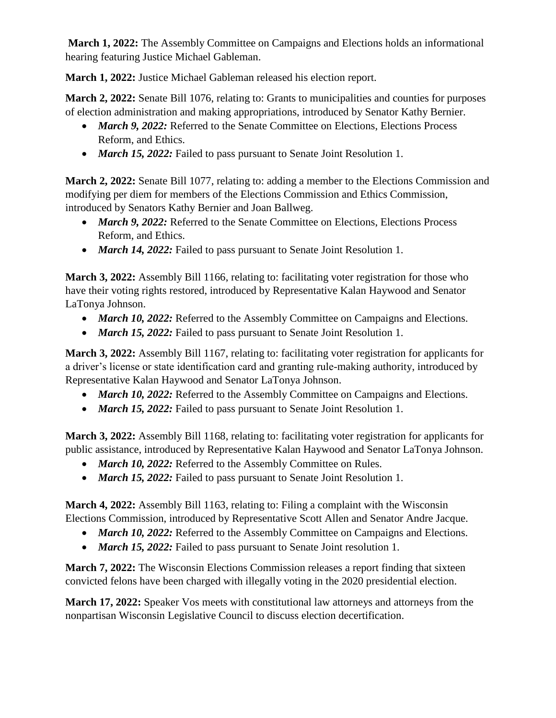**March 1, 2022:** The Assembly Committee on Campaigns and Elections holds an informational hearing featuring Justice Michael Gableman.

**March 1, 2022:** Justice Michael Gableman released his election report.

**March 2, 2022:** Senate Bill 1076, relating to: Grants to municipalities and counties for purposes of election administration and making appropriations, introduced by Senator Kathy Bernier.

- *March 9, 2022:* Referred to the Senate Committee on Elections, Elections Process Reform, and Ethics.
- *March 15, 2022:* Failed to pass pursuant to Senate Joint Resolution 1.

**March 2, 2022:** Senate Bill 1077, relating to: adding a member to the Elections Commission and modifying per diem for members of the Elections Commission and Ethics Commission, introduced by Senators Kathy Bernier and Joan Ballweg.

- *March 9, 2022:* Referred to the Senate Committee on Elections, Elections Process Reform, and Ethics.
- *March 14, 2022:* Failed to pass pursuant to Senate Joint Resolution 1.

**March 3, 2022:** Assembly Bill 1166, relating to: facilitating voter registration for those who have their voting rights restored, introduced by Representative Kalan Haywood and Senator LaTonya Johnson.

- *March 10, 2022:* Referred to the Assembly Committee on Campaigns and Elections.
- *March 15, 2022:* Failed to pass pursuant to Senate Joint Resolution 1.

**March 3, 2022:** Assembly Bill 1167, relating to: facilitating voter registration for applicants for a driver's license or state identification card and granting rule-making authority, introduced by Representative Kalan Haywood and Senator LaTonya Johnson.

- *March 10, 2022:* Referred to the Assembly Committee on Campaigns and Elections.
- *March 15, 2022:* Failed to pass pursuant to Senate Joint Resolution 1.

**March 3, 2022:** Assembly Bill 1168, relating to: facilitating voter registration for applicants for public assistance, introduced by Representative Kalan Haywood and Senator LaTonya Johnson.

- March 10, 2022: Referred to the Assembly Committee on Rules.
- *March 15, 2022:* Failed to pass pursuant to Senate Joint Resolution 1.

**March 4, 2022:** Assembly Bill 1163, relating to: Filing a complaint with the Wisconsin Elections Commission, introduced by Representative Scott Allen and Senator Andre Jacque.

- *March 10, 2022:* Referred to the Assembly Committee on Campaigns and Elections.
- *March 15, 2022:* Failed to pass pursuant to Senate Joint resolution 1.

**March 7, 2022:** The Wisconsin Elections Commission releases a report finding that sixteen convicted felons have been charged with illegally voting in the 2020 presidential election.

**March 17, 2022:** Speaker Vos meets with constitutional law attorneys and attorneys from the nonpartisan Wisconsin Legislative Council to discuss election decertification.